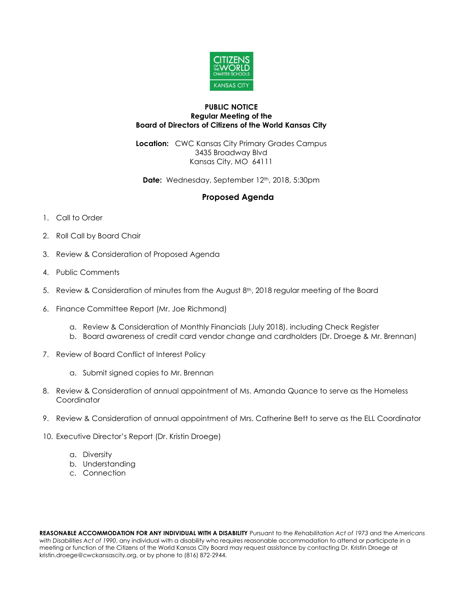

## **PUBLIC NOTICE Regular Meeting of the Board of Directors of Citizens of the World Kansas City**

**Location:** CWC Kansas City Primary Grades Campus 3435 Broadway Blvd Kansas City, MO 64111

Date: Wednesday, September 12<sup>th</sup>, 2018, 5:30pm

## **Proposed Agenda**

- 1. Call to Order
- 2. Roll Call by Board Chair
- 3. Review & Consideration of Proposed Agenda
- 4. Public Comments
- 5. Review & Consideration of minutes from the August  $8<sup>th</sup>$ , 2018 regular meeting of the Board
- 6. Finance Committee Report (Mr. Joe Richmond)
	- a. Review & Consideration of Monthly Financials (July 2018), including Check Register
	- b. Board awareness of credit card vendor change and cardholders (Dr. Droege & Mr. Brennan)
- 7. Review of Board Conflict of Interest Policy
	- a. Submit signed copies to Mr. Brennan
- 8. Review & Consideration of annual appointment of Ms. Amanda Quance to serve as the Homeless **Coordinator**
- 9. Review & Consideration of annual appointment of Mrs. Catherine Bett to serve as the ELL Coordinator
- 10. Executive Director's Report (Dr. Kristin Droege)
	- a. Diversity
	- b. Understanding
	- c. Connection

**REASONABLE ACCOMMODATION FOR ANY INDIVIDUAL WITH A DISABILITY** Pursuant to the *Rehabilitation Act of 1973* and the *Americans with Disabilities Act of 1990*, any individual with a disability who requires reasonable accommodation to attend or participate in a meeting or function of the Citizens of the World Kansas City Board may request assistance by contacting Dr. Kristin Droege at kristin.droege@cwckansascity.org, or by phone to (816) 872-2944.